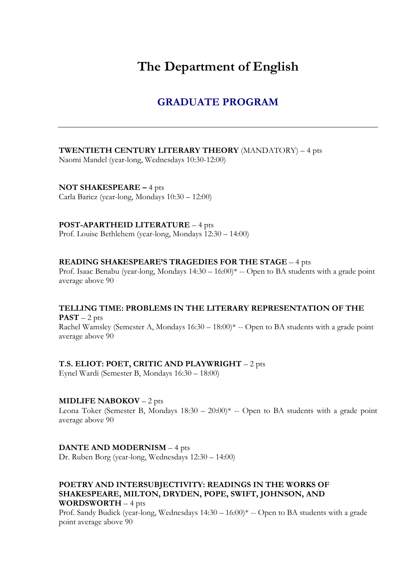# **The Department of English**

# **GRADUATE PROGRAM**

### **TWENTIETH CENTURY LITERARY THEORY** (MANDATORY) – 4 pts

Naomi Mandel (year-long, Wednesdays 10:30-12:00)

**NOT SHAKESPEARE –** 4 pts Carla Baricz (year-long, Mondays 10:30 – 12:00)

**POST-APARTHEID LITERATURE** – 4 pts

Prof. Louise Bethlehem (year-long, Mondays 12:30 – 14:00)

# **READING SHAKESPEARE'S TRAGEDIES FOR THE STAGE** – 4 pts

Prof. Isaac Benabu (year-long, Mondays 14:30 – 16:00)\* -- Open to BA students with a grade point average above 90

#### **TELLING TIME: PROBLEMS IN THE LITERARY REPRESENTATION OF THE**  $PAST - 2 pts$

Rachel Wamsley (Semester A, Mondays 16:30 – 18:00)\* -- Open to BA students with a grade point average above 90

#### **T.S. ELIOT: POET, CRITIC AND PLAYWRIGHT** – 2 pts

Eynel Wardi (Semester B, Mondays 16:30 – 18:00)

# **MIDLIFE NABOKOV** – 2 pts

Leona Toker (Semester B, Mondays  $18:30 - 20:00$ )<sup>\*</sup> -- Open to BA students with a grade point average above 90

#### **DANTE AND MODERNISM** – 4 pts

Dr. Ruben Borg (year-long, Wednesdays 12:30 – 14:00)

### **POETRY AND INTERSUBJECTIVITY: READINGS IN THE WORKS OF SHAKESPEARE, MILTON, DRYDEN, POPE, SWIFT, JOHNSON, AND WORDSWORTH** – 4 pts

Prof. Sandy Budick (year-long, Wednesdays 14:30 – 16:00)\* -- Open to BA students with a grade point average above 90